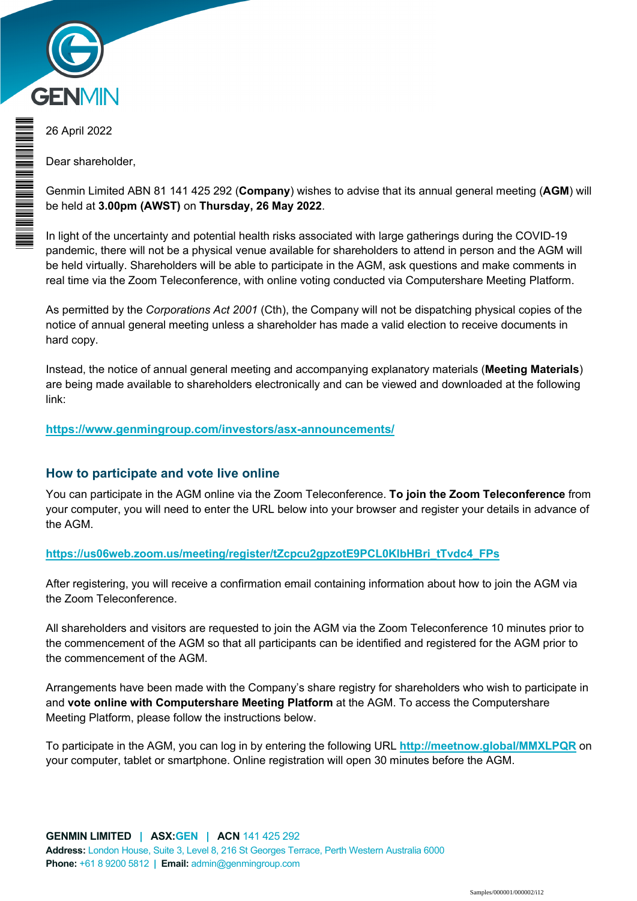

26 April 2022

\* M0000112<br>M000112

**THE REAL PROPERTY AND RELEASE** 

Dear shareholder,

Genmin Limited ABN 81 141 425 292 (**Company**) wishes to advise that its annual general meeting (**AGM**) will be held at **3.00pm (AWST)** on **Thursday, 26 May 2022**.

In light of the uncertainty and potential health risks associated with large gatherings during the COVID-19 pandemic, there will not be a physical venue available for shareholders to attend in person and the AGM will be held virtually. Shareholders will be able to participate in the AGM, ask questions and make comments in real time via the Zoom Teleconference, with online voting conducted via Computershare Meeting Platform.

As permitted by the *Corporations Act 2001* (Cth), the Company will not be dispatching physical copies of the notice of annual general meeting unless a shareholder has made a valid election to receive documents in hard copy.

Instead, the notice of annual general meeting and accompanying explanatory materials (**Meeting Materials**) are being made available to shareholders electronically and can be viewed and downloaded at the following link:

#### **https://www.genmingroup.com/investors/asx-announcements/**

#### **How to participate and vote live online**

You can participate in the AGM online via the Zoom Teleconference. **To join the Zoom Teleconference** from your computer, you will need to enter the URL below into your browser and register your details in advance of the AGM.

#### **https://us06web.zoom.us/meeting/register/tZcpcu2gpzotE9PCL0KlbHBri\_tTvdc4\_FPs**

After registering, you will receive a confirmation email containing information about how to join the AGM via the Zoom Teleconference.

All shareholders and visitors are requested to join the AGM via the Zoom Teleconference 10 minutes prior to the commencement of the AGM so that all participants can be identified and registered for the AGM prior to the commencement of the AGM.

Arrangements have been made with the Company's share registry for shareholders who wish to participate in and **vote online with Computershare Meeting Platform** at the AGM. To access the Computershare Meeting Platform, please follow the instructions below.

To participate in the AGM, you can log in by entering the following URL **http://meetnow.global/MMXLPQR** on your computer, tablet or smartphone. Online registration will open 30 minutes before the AGM.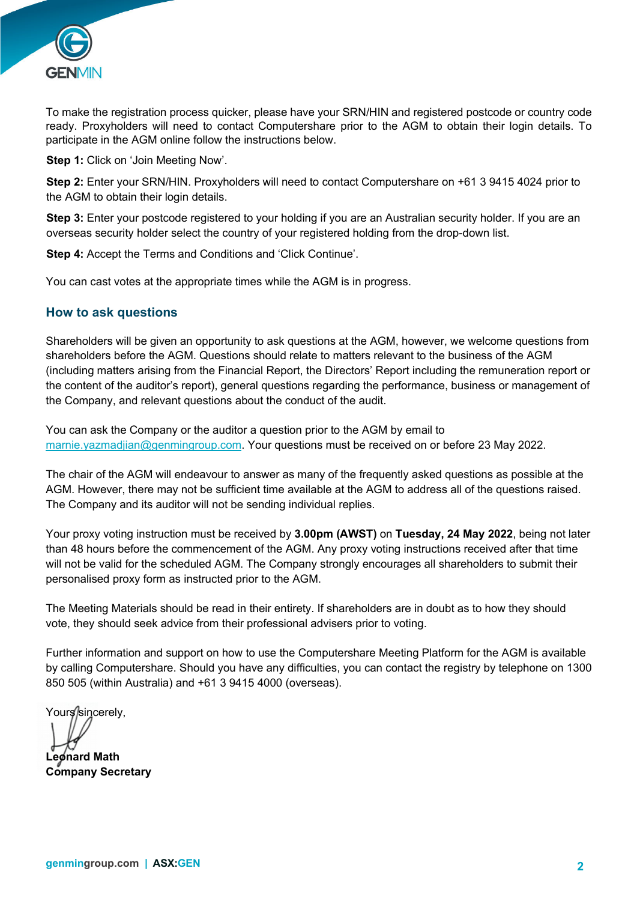

To make the registration process quicker, please have your SRN/HIN and registered postcode or country code ready. Proxyholders will need to contact Computershare prior to the AGM to obtain their login details. To participate in the AGM online follow the instructions below.

**Step 1:** Click on 'Join Meeting Now'.

**Step 2:** Enter your SRN/HIN. Proxyholders will need to contact Computershare on +61 3 9415 4024 prior to the AGM to obtain their login details.

**Step 3:** Enter your postcode registered to your holding if you are an Australian security holder. If you are an overseas security holder select the country of your registered holding from the drop-down list.

**Step 4:** Accept the Terms and Conditions and 'Click Continue'.

You can cast votes at the appropriate times while the AGM is in progress.

#### **How to ask questions**

Shareholders will be given an opportunity to ask questions at the AGM, however, we welcome questions from shareholders before the AGM. Questions should relate to matters relevant to the business of the AGM (including matters arising from the Financial Report, the Directors' Report including the remuneration report or the content of the auditor's report), general questions regarding the performance, business or management of the Company, and relevant questions about the conduct of the audit.

You can ask the Company or the auditor a question prior to the AGM by email to marnie.yazmadjian@genmingroup.com. Your questions must be received on or before 23 May 2022.

The chair of the AGM will endeavour to answer as many of the frequently asked questions as possible at the AGM. However, there may not be sufficient time available at the AGM to address all of the questions raised. The Company and its auditor will not be sending individual replies.

Your proxy voting instruction must be received by **3.00pm (AWST)** on **Tuesday, 24 May 2022**, being not later than 48 hours before the commencement of the AGM. Any proxy voting instructions received after that time will not be valid for the scheduled AGM. The Company strongly encourages all shareholders to submit their personalised proxy form as instructed prior to the AGM.

The Meeting Materials should be read in their entirety. If shareholders are in doubt as to how they should vote, they should seek advice from their professional advisers prior to voting.

Further information and support on how to use the Computershare Meeting Platform for the AGM is available by calling Computershare. Should you have any difficulties, you can contact the registry by telephone on 1300 850 505 (within Australia) and +61 3 9415 4000 (overseas).

Yours/sincerely.

**Leonard Math** 

**Company Secretary**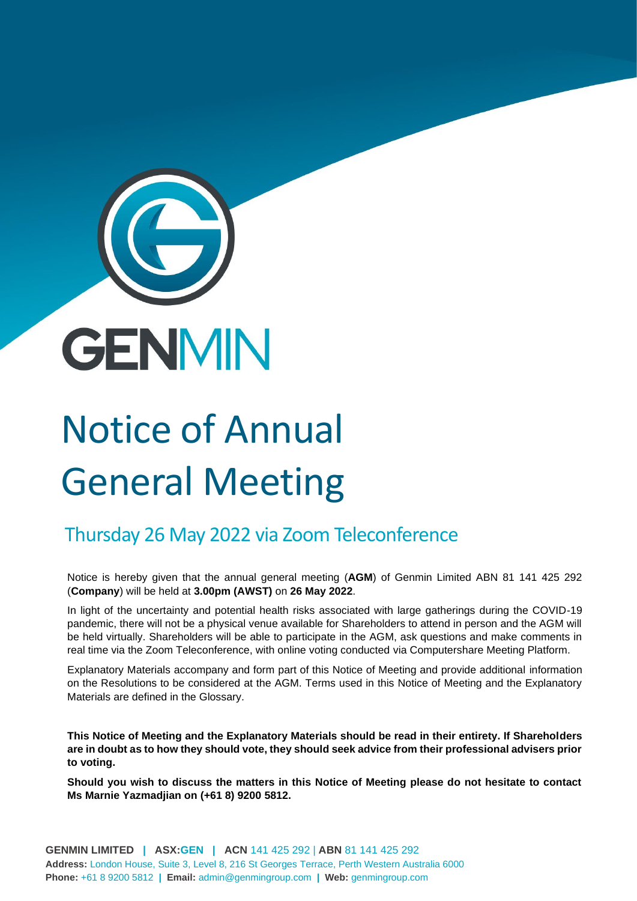

# Notice of Annual General Meeting

## Thursday 26 May 2022 via Zoom Teleconference

Notice is hereby given that the annual general meeting (**AGM**) of Genmin Limited ABN 81 141 425 292 (**Company**) will be held at **3.00pm (AWST)** on **26 May 2022**.

In light of the uncertainty and potential health risks associated with large gatherings during the COVID-19 pandemic, there will not be a physical venue available for Shareholders to attend in person and the AGM will be held virtually. Shareholders will be able to participate in the AGM, ask questions and make comments in real time via the Zoom Teleconference, with online voting conducted via Computershare Meeting Platform.

Explanatory Materials accompany and form part of this Notice of Meeting and provide additional information on the Resolutions to be considered at the AGM. Terms used in this Notice of Meeting and the Explanatory Materials are defined in the Glossary.

**This Notice of Meeting and the Explanatory Materials should be read in their entirety. If Shareholders are in doubt as to how they should vote, they should seek advice from their professional advisers prior to voting.**

**Should you wish to discuss the matters in this Notice of Meeting please do not hesitate to contact Ms Marnie Yazmadjian on (+61 8) 9200 5812.**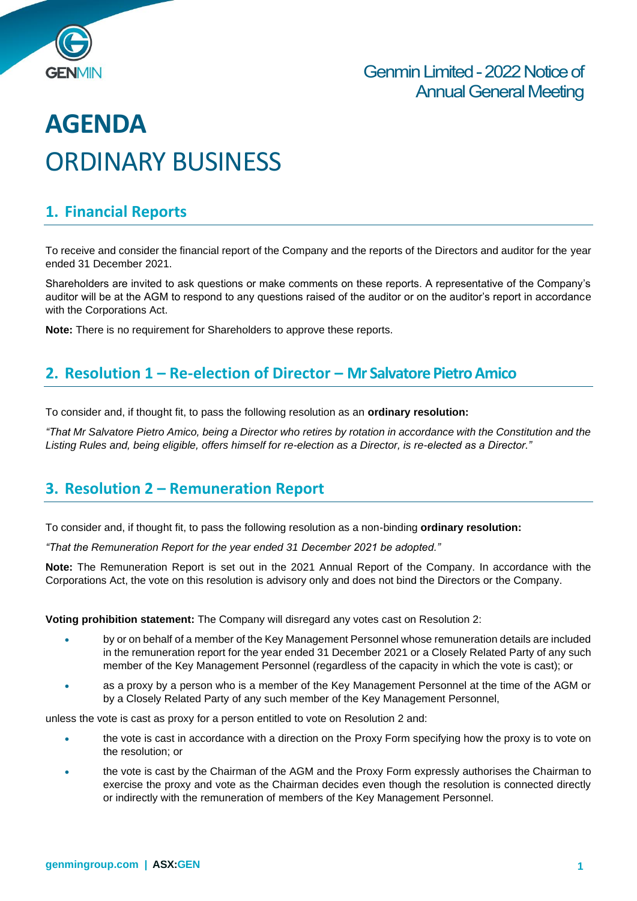

## **AGENDA** ORDINARY BUSINESS

### **1. Financial Reports**

To receive and consider the financial report of the Company and the reports of the Directors and auditor for the year ended 31 December 2021.

Shareholders are invited to ask questions or make comments on these reports. A representative of the Company's auditor will be at the AGM to respond to any questions raised of the auditor or on the auditor's report in accordance with the Corporations Act.

**Note:** There is no requirement for Shareholders to approve these reports.

#### **2. Resolution 1 – Re-election of Director – Mr Salvatore Pietro Amico**

To consider and, if thought fit, to pass the following resolution as an **ordinary resolution:**

*"That Mr Salvatore Pietro Amico, being a Director who retires by rotation in accordance with the Constitution and the Listing Rules and, being eligible, offers himself for re-election as a Director, is re-elected as a Director."*

## **3. Resolution 2 – Remuneration Report**

To consider and, if thought fit, to pass the following resolution as a non-binding **ordinary resolution:**

*"That the Remuneration Report for the year ended 31 December 2021 be adopted."*

**Note:** The Remuneration Report is set out in the 2021 Annual Report of the Company. In accordance with the Corporations Act, the vote on this resolution is advisory only and does not bind the Directors or the Company.

**Voting prohibition statement:** The Company will disregard any votes cast on Resolution 2:

- by or on behalf of a member of the Key Management Personnel whose remuneration details are included in the remuneration report for the year ended 31 December 2021 or a Closely Related Party of any such member of the Key Management Personnel (regardless of the capacity in which the vote is cast); or
- as a proxy by a person who is a member of the Key Management Personnel at the time of the AGM or by a Closely Related Party of any such member of the Key Management Personnel,

unless the vote is cast as proxy for a person entitled to vote on Resolution 2 and:

- the vote is cast in accordance with a direction on the Proxy Form specifying how the proxy is to vote on the resolution; or
- the vote is cast by the Chairman of the AGM and the Proxy Form expressly authorises the Chairman to exercise the proxy and vote as the Chairman decides even though the resolution is connected directly or indirectly with the remuneration of members of the Key Management Personnel.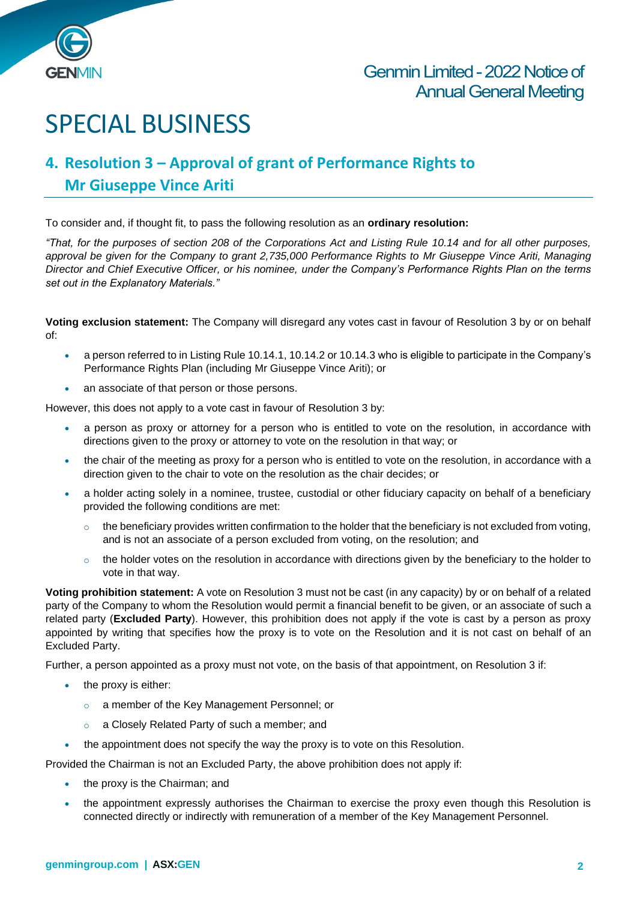

## SPECIAL BUSINESS

## **4. Resolution 3 – Approval of grant of Performance Rights to Mr Giuseppe Vince Ariti**

To consider and, if thought fit, to pass the following resolution as an **ordinary resolution:**

*"That, for the purposes of section 208 of the Corporations Act and Listing Rule 10.14 and for all other purposes, approval be given for the Company to grant 2,735,000 Performance Rights to Mr Giuseppe Vince Ariti, Managing Director and Chief Executive Officer, or his nominee, under the Company's Performance Rights Plan on the terms set out in the Explanatory Materials."*

**Voting exclusion statement:** The Company will disregard any votes cast in favour of Resolution 3 by or on behalf of:

- a person referred to in Listing Rule 10.14.1, 10.14.2 or 10.14.3 who is eligible to participate in the Company's Performance Rights Plan (including Mr Giuseppe Vince Ariti); or
- an associate of that person or those persons.

However, this does not apply to a vote cast in favour of Resolution 3 by:

- a person as proxy or attorney for a person who is entitled to vote on the resolution, in accordance with directions given to the proxy or attorney to vote on the resolution in that way; or
- the chair of the meeting as proxy for a person who is entitled to vote on the resolution, in accordance with a direction given to the chair to vote on the resolution as the chair decides; or
- a holder acting solely in a nominee, trustee, custodial or other fiduciary capacity on behalf of a beneficiary provided the following conditions are met:
	- $\circ$  the beneficiary provides written confirmation to the holder that the beneficiary is not excluded from voting, and is not an associate of a person excluded from voting, on the resolution; and
	- $\circ$  the holder votes on the resolution in accordance with directions given by the beneficiary to the holder to vote in that way.

**Voting prohibition statement:** A vote on Resolution 3 must not be cast (in any capacity) by or on behalf of a related party of the Company to whom the Resolution would permit a financial benefit to be given, or an associate of such a related party (**Excluded Party**). However, this prohibition does not apply if the vote is cast by a person as proxy appointed by writing that specifies how the proxy is to vote on the Resolution and it is not cast on behalf of an Excluded Party.

Further, a person appointed as a proxy must not vote, on the basis of that appointment, on Resolution 3 if:

- the proxy is either:
	- o a member of the Key Management Personnel; or
	- o a Closely Related Party of such a member; and
- the appointment does not specify the way the proxy is to vote on this Resolution.

Provided the Chairman is not an Excluded Party, the above prohibition does not apply if:

- the proxy is the Chairman; and
- the appointment expressly authorises the Chairman to exercise the proxy even though this Resolution is connected directly or indirectly with remuneration of a member of the Key Management Personnel.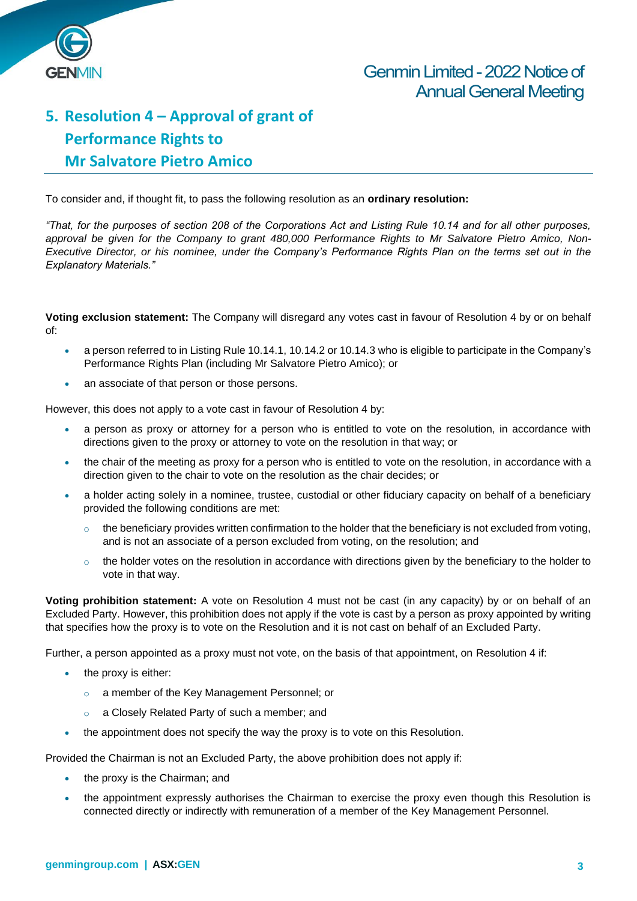

## **5. Resolution 4 – Approval of grant of Performance Rights to Mr Salvatore Pietro Amico**

To consider and, if thought fit, to pass the following resolution as an **ordinary resolution:**

*"That, for the purposes of section 208 of the Corporations Act and Listing Rule 10.14 and for all other purposes, approval be given for the Company to grant 480,000 Performance Rights to Mr Salvatore Pietro Amico, Non-Executive Director, or his nominee, under the Company's Performance Rights Plan on the terms set out in the Explanatory Materials."*

**Voting exclusion statement:** The Company will disregard any votes cast in favour of Resolution 4 by or on behalf of:

- a person referred to in Listing Rule 10.14.1, 10.14.2 or 10.14.3 who is eligible to participate in the Company's Performance Rights Plan (including Mr Salvatore Pietro Amico); or
- an associate of that person or those persons.

However, this does not apply to a vote cast in favour of Resolution 4 by:

- a person as proxy or attorney for a person who is entitled to vote on the resolution, in accordance with directions given to the proxy or attorney to vote on the resolution in that way; or
- the chair of the meeting as proxy for a person who is entitled to vote on the resolution, in accordance with a direction given to the chair to vote on the resolution as the chair decides; or
- a holder acting solely in a nominee, trustee, custodial or other fiduciary capacity on behalf of a beneficiary provided the following conditions are met:
	- $\circ$  the beneficiary provides written confirmation to the holder that the beneficiary is not excluded from voting, and is not an associate of a person excluded from voting, on the resolution; and
	- the holder votes on the resolution in accordance with directions given by the beneficiary to the holder to vote in that way.

**Voting prohibition statement:** A vote on Resolution 4 must not be cast (in any capacity) by or on behalf of an Excluded Party. However, this prohibition does not apply if the vote is cast by a person as proxy appointed by writing that specifies how the proxy is to vote on the Resolution and it is not cast on behalf of an Excluded Party.

Further, a person appointed as a proxy must not vote, on the basis of that appointment, on Resolution 4 if:

- the proxy is either:
	- o a member of the Key Management Personnel; or
	- o a Closely Related Party of such a member; and
- the appointment does not specify the way the proxy is to vote on this Resolution.

Provided the Chairman is not an Excluded Party, the above prohibition does not apply if:

- the proxy is the Chairman; and
- the appointment expressly authorises the Chairman to exercise the proxy even though this Resolution is connected directly or indirectly with remuneration of a member of the Key Management Personnel.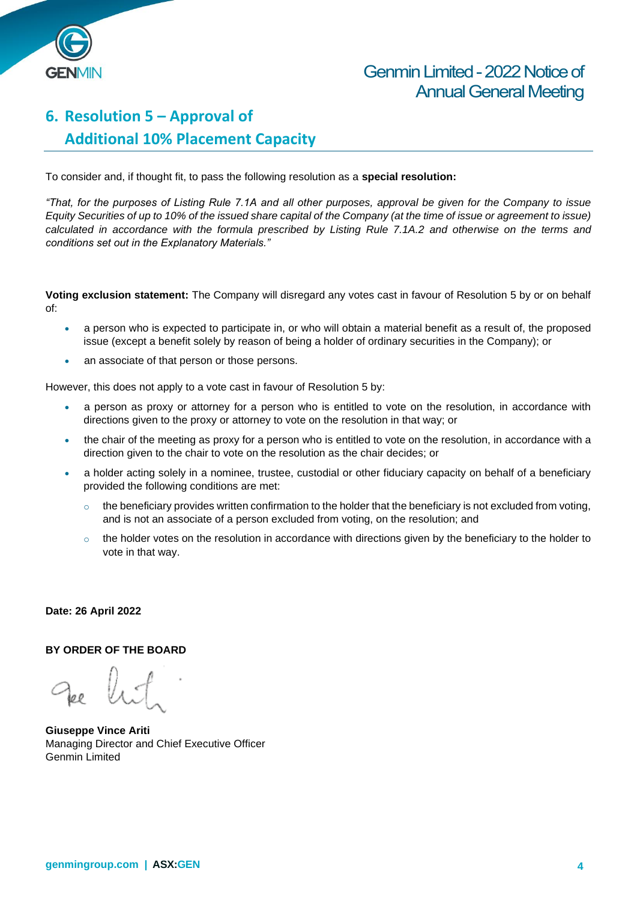

## Genmin Limited - 2022 Notice of Annual General Meeting

## **6. Resolution 5 – Approval of Additional 10% Placement Capacity**

To consider and, if thought fit, to pass the following resolution as a **special resolution:**

*"That, for the purposes of Listing Rule 7.1A and all other purposes, approval be given for the Company to issue Equity Securities of up to 10% of the issued share capital of the Company (at the time of issue or agreement to issue) calculated in accordance with the formula prescribed by Listing Rule 7.1A.2 and otherwise on the terms and conditions set out in the Explanatory Materials."*

**Voting exclusion statement:** The Company will disregard any votes cast in favour of Resolution 5 by or on behalf of:

- a person who is expected to participate in, or who will obtain a material benefit as a result of, the proposed issue (except a benefit solely by reason of being a holder of ordinary securities in the Company); or
- an associate of that person or those persons.

However, this does not apply to a vote cast in favour of Resolution 5 by:

- a person as proxy or attorney for a person who is entitled to vote on the resolution, in accordance with directions given to the proxy or attorney to vote on the resolution in that way; or
- the chair of the meeting as proxy for a person who is entitled to vote on the resolution, in accordance with a direction given to the chair to vote on the resolution as the chair decides; or
- a holder acting solely in a nominee, trustee, custodial or other fiduciary capacity on behalf of a beneficiary provided the following conditions are met:
	- $\circ$  the beneficiary provides written confirmation to the holder that the beneficiary is not excluded from voting, and is not an associate of a person excluded from voting, on the resolution; and
	- $\circ$  the holder votes on the resolution in accordance with directions given by the beneficiary to the holder to vote in that way.

#### **Date: 26 April 2022**

#### **BY ORDER OF THE BOARD**

**Giuseppe Vince Ariti** Managing Director and Chief Executive Officer Genmin Limited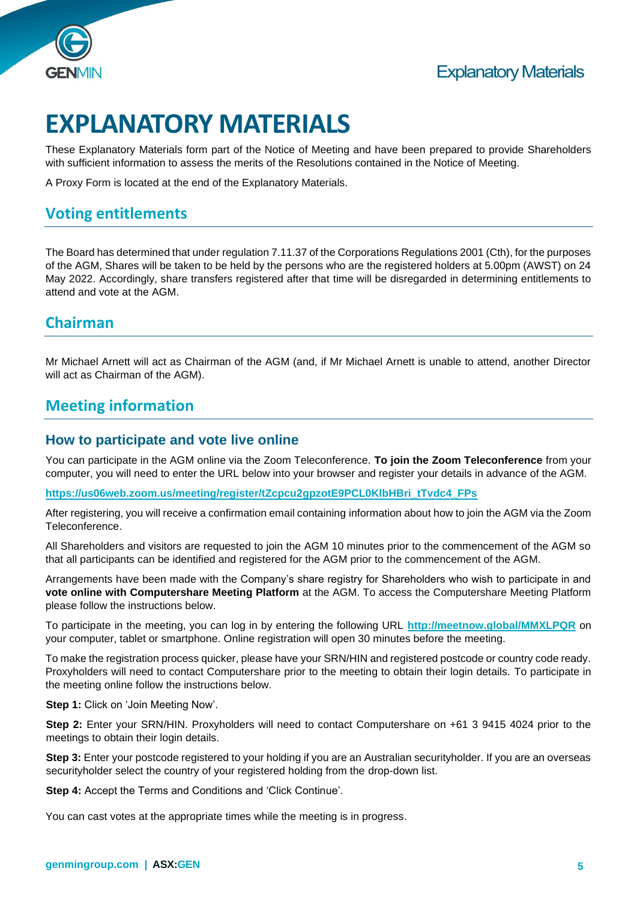

## **EXPLANATORY MATERIALS**

These Explanatory Materials form part of the Notice of Meeting and have been prepared to provide Shareholders with sufficient information to assess the merits of the Resolutions contained in the Notice of Meeting.

A Proxy Form is located at the end of the Explanatory Materials.

## **Voting entitlements**

The Board has determined that under regulation 7.11.37 of the Corporations Regulations 2001 (Cth), for the purposes of the AGM, Shares will be taken to be held by the persons who are the registered holders at 5.00pm (AWST) on 24 May 2022. Accordingly, share transfers registered after that time will be disregarded in determining entitlements to attend and vote at the AGM.

#### **Chairman**

Mr Michael Arnett will act as Chairman of the AGM (and, if Mr Michael Arnett is unable to attend, another Director will act as Chairman of the AGM).

### **Meeting information**

#### **How to participate and vote live online**

You can participate in the AGM online via the Zoom Teleconference. **To join the Zoom Teleconference** from your computer, you will need to enter the URL below into your browser and register your details in advance of the AGM.

**[https://us06web.zoom.us/meeting/register/tZcpcu2gpzotE9PCL0KlbHBri\\_tTvdc4\\_FPs](https://us06web.zoom.us/meeting/register/tZcpcu2gpzotE9PCL0KlbHBri_tTvdc4_FPs)**

After registering, you will receive a confirmation email containing information about how to join the AGM via the Zoom Teleconference.

All Shareholders and visitors are requested to join the AGM 10 minutes prior to the commencement of the AGM so that all participants can be identified and registered for the AGM prior to the commencement of the AGM.

Arrangements have been made with the Company's share registry for Shareholders who wish to participate in and **vote online with Computershare Meeting Platform** at the AGM. To access the Computershare Meeting Platform please follow the instructions below.

To participate in the meeting, you can log in by entering the following URL **<http://meetnow.global/MMXLPQR>** on your computer, tablet or smartphone. Online registration will open 30 minutes before the meeting.

To make the registration process quicker, please have your SRN/HIN and registered postcode or country code ready. Proxyholders will need to contact Computershare prior to the meeting to obtain their login details. To participate in the meeting online follow the instructions below.

**Step 1: Click on 'Join Meeting Now'.** 

**Step 2:** Enter your SRN/HIN. Proxyholders will need to contact Computershare on +61 3 9415 4024 prior to the meetings to obtain their login details.

**Step 3:** Enter your postcode registered to your holding if you are an Australian securityholder. If you are an overseas securityholder select the country of your registered holding from the drop-down list.

**Step 4:** Accept the Terms and Conditions and 'Click Continue'.

You can cast votes at the appropriate times while the meeting is in progress.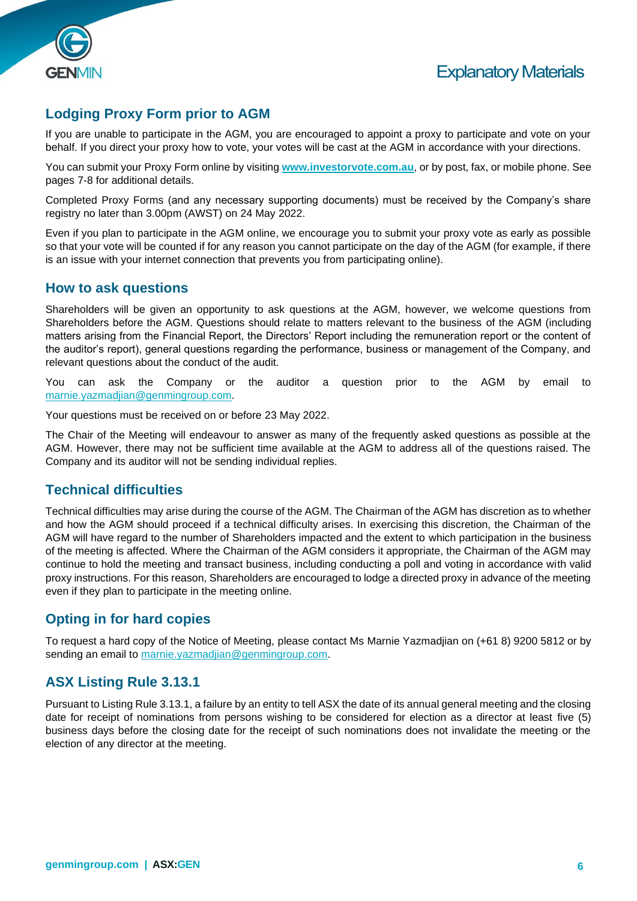



#### **Lodging Proxy Form prior to AGM**

If you are unable to participate in the AGM, you are encouraged to appoint a proxy to participate and vote on your behalf. If you direct your proxy how to vote, your votes will be cast at the AGM in accordance with your directions.

You can submit your Proxy Form online by visiting **[www.investorvote.com.au](http://www.investorvote.com.au/)**, or by post, fax, or mobile phone. See pages 7-8 for additional details.

Completed Proxy Forms (and any necessary supporting documents) must be received by the Company's share registry no later than 3.00pm (AWST) on 24 May 2022.

Even if you plan to participate in the AGM online, we encourage you to submit your proxy vote as early as possible so that your vote will be counted if for any reason you cannot participate on the day of the AGM (for example, if there is an issue with your internet connection that prevents you from participating online).

#### **How to ask questions**

Shareholders will be given an opportunity to ask questions at the AGM, however, we welcome questions from Shareholders before the AGM. Questions should relate to matters relevant to the business of the AGM (including matters arising from the Financial Report, the Directors' Report including the remuneration report or the content of the auditor's report), general questions regarding the performance, business or management of the Company, and relevant questions about the conduct of the audit.

You can ask the Company or the auditor a question prior to the AGM by email to [marnie.yazmadjian@genmingroup.com.](mailto:lucy.rowe@genmingroup.com)

Your questions must be received on or before 23 May 2022.

The Chair of the Meeting will endeavour to answer as many of the frequently asked questions as possible at the AGM. However, there may not be sufficient time available at the AGM to address all of the questions raised. The Company and its auditor will not be sending individual replies.

#### **Technical difficulties**

Technical difficulties may arise during the course of the AGM. The Chairman of the AGM has discretion as to whether and how the AGM should proceed if a technical difficulty arises. In exercising this discretion, the Chairman of the AGM will have regard to the number of Shareholders impacted and the extent to which participation in the business of the meeting is affected. Where the Chairman of the AGM considers it appropriate, the Chairman of the AGM may continue to hold the meeting and transact business, including conducting a poll and voting in accordance with valid proxy instructions. For this reason, Shareholders are encouraged to lodge a directed proxy in advance of the meeting even if they plan to participate in the meeting online.

#### **Opting in for hard copies**

To request a hard copy of the Notice of Meeting, please contact Ms Marnie Yazmadjian on (+61 8) 9200 5812 or by sending an email to marnie.yazmadijan@genmingroup.com.

#### **ASX Listing Rule 3.13.1**

Pursuant to Listing Rule 3.13.1, a failure by an entity to tell ASX the date of its annual general meeting and the closing date for receipt of nominations from persons wishing to be considered for election as a director at least five (5) business days before the closing date for the receipt of such nominations does not invalidate the meeting or the election of any director at the meeting.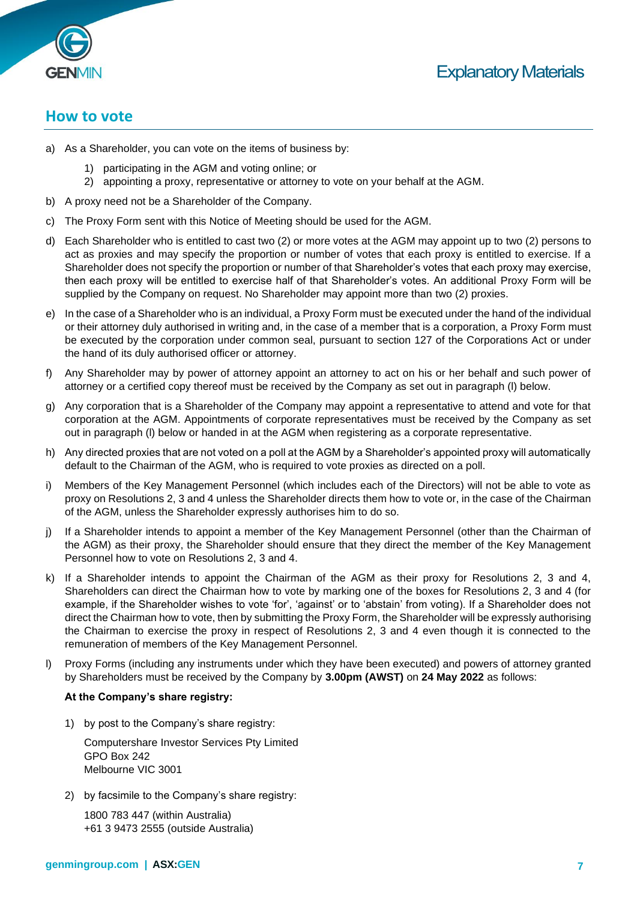

#### **How to vote**

- a) As a Shareholder, you can vote on the items of business by:
	- 1) participating in the AGM and voting online; or
	- 2) appointing a proxy, representative or attorney to vote on your behalf at the AGM.
- b) A proxy need not be a Shareholder of the Company.
- c) The Proxy Form sent with this Notice of Meeting should be used for the AGM.
- d) Each Shareholder who is entitled to cast two (2) or more votes at the AGM may appoint up to two (2) persons to act as proxies and may specify the proportion or number of votes that each proxy is entitled to exercise. If a Shareholder does not specify the proportion or number of that Shareholder's votes that each proxy may exercise, then each proxy will be entitled to exercise half of that Shareholder's votes. An additional Proxy Form will be supplied by the Company on request. No Shareholder may appoint more than two (2) proxies.
- e) In the case of a Shareholder who is an individual, a Proxy Form must be executed under the hand of the individual or their attorney duly authorised in writing and, in the case of a member that is a corporation, a Proxy Form must be executed by the corporation under common seal, pursuant to section 127 of the Corporations Act or under the hand of its duly authorised officer or attorney.
- f) Any Shareholder may by power of attorney appoint an attorney to act on his or her behalf and such power of attorney or a certified copy thereof must be received by the Company as set out in paragraph (l) below.
- g) Any corporation that is a Shareholder of the Company may appoint a representative to attend and vote for that corporation at the AGM. Appointments of corporate representatives must be received by the Company as set out in paragraph (l) below or handed in at the AGM when registering as a corporate representative.
- h) Any directed proxies that are not voted on a poll at the AGM by a Shareholder's appointed proxy will automatically default to the Chairman of the AGM, who is required to vote proxies as directed on a poll.
- i) Members of the Key Management Personnel (which includes each of the Directors) will not be able to vote as proxy on Resolutions 2, 3 and 4 unless the Shareholder directs them how to vote or, in the case of the Chairman of the AGM, unless the Shareholder expressly authorises him to do so.
- j) If a Shareholder intends to appoint a member of the Key Management Personnel (other than the Chairman of the AGM) as their proxy, the Shareholder should ensure that they direct the member of the Key Management Personnel how to vote on Resolutions 2, 3 and 4.
- k) If a Shareholder intends to appoint the Chairman of the AGM as their proxy for Resolutions 2, 3 and 4, Shareholders can direct the Chairman how to vote by marking one of the boxes for Resolutions 2, 3 and 4 (for example, if the Shareholder wishes to vote 'for', 'against' or to 'abstain' from voting). If a Shareholder does not direct the Chairman how to vote, then by submitting the Proxy Form, the Shareholder will be expressly authorising the Chairman to exercise the proxy in respect of Resolutions 2, 3 and 4 even though it is connected to the remuneration of members of the Key Management Personnel.
- l) Proxy Forms (including any instruments under which they have been executed) and powers of attorney granted by Shareholders must be received by the Company by **3.00pm (AWST)** on **24 May 2022** as follows:

#### **At the Company's share registry:**

1) by post to the Company's share registry:

Computershare Investor Services Pty Limited GPO Box 242 Melbourne VIC 3001

2) by facsimile to the Company's share registry:

1800 783 447 (within Australia) +61 3 9473 2555 (outside Australia)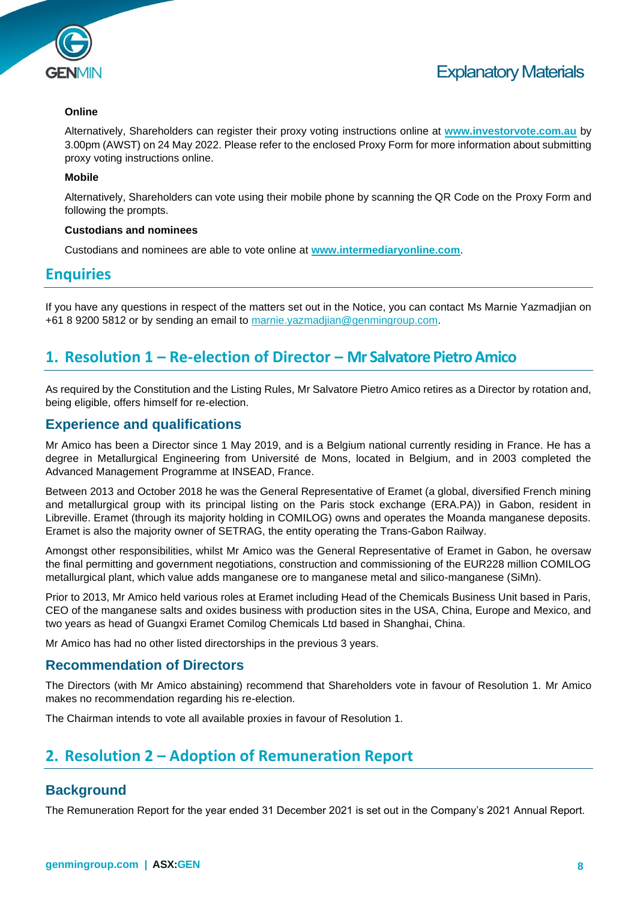

#### **Online**

Alternatively, Shareholders can register their proxy voting instructions online at **[www.investorvote.com.au](http://www.investorvote.com.au/)** by 3.00pm (AWST) on 24 May 2022. Please refer to the enclosed Proxy Form for more information about submitting proxy voting instructions online.

#### **Mobile**

Alternatively, Shareholders can vote using their mobile phone by scanning the QR Code on the Proxy Form and following the prompts.

#### **Custodians and nominees**

Custodians and nominees are able to vote online at **[www.intermediaryonline.com](http://www.intermediaryonline.com/)**.

#### **Enquiries**

If you have any questions in respect of the matters set out in the Notice, you can contact Ms Marnie Yazmadjian on +61 8 9200 5812 or by sending an email to [marnie.yazmadjian@genmingroup.com.](mailto:marnie.yazmadjian@genmingroup.com)

#### **1. Resolution 1 – Re-election of Director – Mr Salvatore Pietro Amico**

As required by the Constitution and the Listing Rules, Mr Salvatore Pietro Amico retires as a Director by rotation and, being eligible, offers himself for re-election.

#### **Experience and qualifications**

Mr Amico has been a Director since 1 May 2019, and is a Belgium national currently residing in France. He has a degree in Metallurgical Engineering from Université de Mons, located in Belgium, and in 2003 completed the Advanced Management Programme at INSEAD, France.

Between 2013 and October 2018 he was the General Representative of Eramet (a global, diversified French mining and metallurgical group with its principal listing on the Paris stock exchange (ERA.PA)) in Gabon, resident in Libreville. Eramet (through its majority holding in COMILOG) owns and operates the Moanda manganese deposits. Eramet is also the majority owner of SETRAG, the entity operating the Trans-Gabon Railway.

Amongst other responsibilities, whilst Mr Amico was the General Representative of Eramet in Gabon, he oversaw the final permitting and government negotiations, construction and commissioning of the EUR228 million COMILOG metallurgical plant, which value adds manganese ore to manganese metal and silico-manganese (SiMn).

Prior to 2013, Mr Amico held various roles at Eramet including Head of the Chemicals Business Unit based in Paris, CEO of the manganese salts and oxides business with production sites in the USA, China, Europe and Mexico, and two years as head of Guangxi Eramet Comilog Chemicals Ltd based in Shanghai, China.

Mr Amico has had no other listed directorships in the previous 3 years.

#### **Recommendation of Directors**

The Directors (with Mr Amico abstaining) recommend that Shareholders vote in favour of Resolution 1. Mr Amico makes no recommendation regarding his re-election.

The Chairman intends to vote all available proxies in favour of Resolution 1.

### **2. Resolution 2 – Adoption of Remuneration Report**

#### **Background**

The Remuneration Report for the year ended 31 December 2021 is set out in the Company's 2021 Annual Report.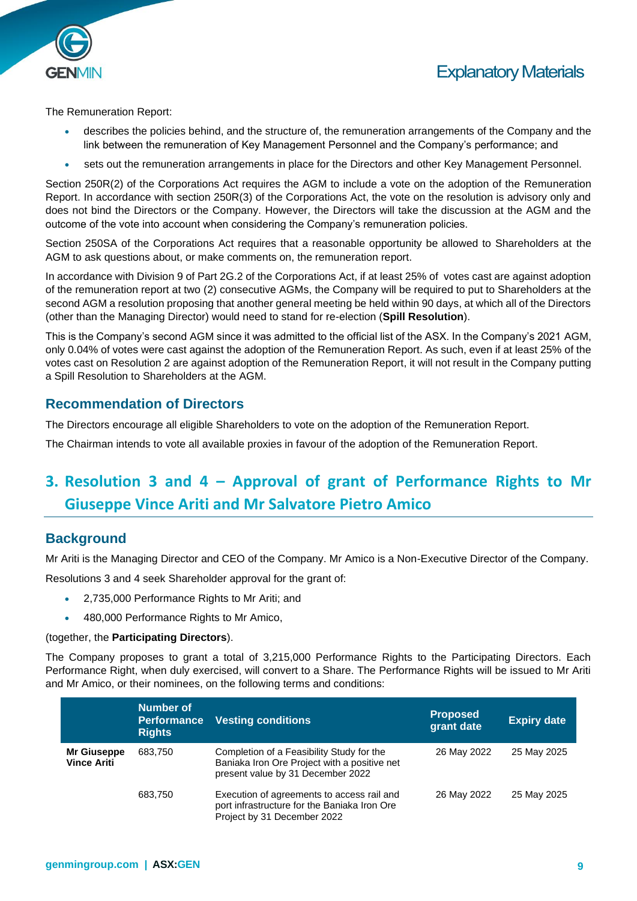



The Remuneration Report:

- describes the policies behind, and the structure of, the remuneration arrangements of the Company and the link between the remuneration of Key Management Personnel and the Company's performance; and
- sets out the remuneration arrangements in place for the Directors and other Key Management Personnel.

Section 250R(2) of the Corporations Act requires the AGM to include a vote on the adoption of the Remuneration Report. In accordance with section 250R(3) of the Corporations Act, the vote on the resolution is advisory only and does not bind the Directors or the Company. However, the Directors will take the discussion at the AGM and the outcome of the vote into account when considering the Company's remuneration policies.

Section 250SA of the Corporations Act requires that a reasonable opportunity be allowed to Shareholders at the AGM to ask questions about, or make comments on, the remuneration report.

In accordance with Division 9 of Part 2G.2 of the Corporations Act, if at least 25% of votes cast are against adoption of the remuneration report at two (2) consecutive AGMs, the Company will be required to put to Shareholders at the second AGM a resolution proposing that another general meeting be held within 90 days, at which all of the Directors (other than the Managing Director) would need to stand for re-election (**Spill Resolution**).

This is the Company's second AGM since it was admitted to the official list of the ASX. In the Company's 2021 AGM, only 0.04% of votes were cast against the adoption of the Remuneration Report. As such, even if at least 25% of the votes cast on Resolution 2 are against adoption of the Remuneration Report, it will not result in the Company putting a Spill Resolution to Shareholders at the AGM.

#### **Recommendation of Directors**

The Directors encourage all eligible Shareholders to vote on the adoption of the Remuneration Report.

The Chairman intends to vote all available proxies in favour of the adoption of the Remuneration Report.

## **3. Resolution 3 and 4 – Approval of grant of Performance Rights to Mr Giuseppe Vince Ariti and Mr Salvatore Pietro Amico**

#### **Background**

Mr Ariti is the Managing Director and CEO of the Company. Mr Amico is a Non-Executive Director of the Company.

Resolutions 3 and 4 seek Shareholder approval for the grant of:

- 2,735,000 Performance Rights to Mr Ariti; and
- 480,000 Performance Rights to Mr Amico,

#### (together, the **Participating Directors**).

The Company proposes to grant a total of 3,215,000 Performance Rights to the Participating Directors. Each Performance Right, when duly exercised, will convert to a Share. The Performance Rights will be issued to Mr Ariti and Mr Amico, or their nominees, on the following terms and conditions:

|                                   | Number of<br><b>Performance</b><br><b>Rights</b> | <b>Vesting conditions</b>                                                                                                      | <b>Proposed</b><br>grant date | <b>Expiry date</b> |
|-----------------------------------|--------------------------------------------------|--------------------------------------------------------------------------------------------------------------------------------|-------------------------------|--------------------|
| Mr Giuseppe<br><b>Vince Ariti</b> | 683,750                                          | Completion of a Feasibility Study for the<br>Baniaka Iron Ore Project with a positive net<br>present value by 31 December 2022 | 26 May 2022                   | 25 May 2025        |
|                                   | 683,750                                          | Execution of agreements to access rail and<br>port infrastructure for the Baniaka Iron Ore<br>Project by 31 December 2022      | 26 May 2022                   | 25 May 2025        |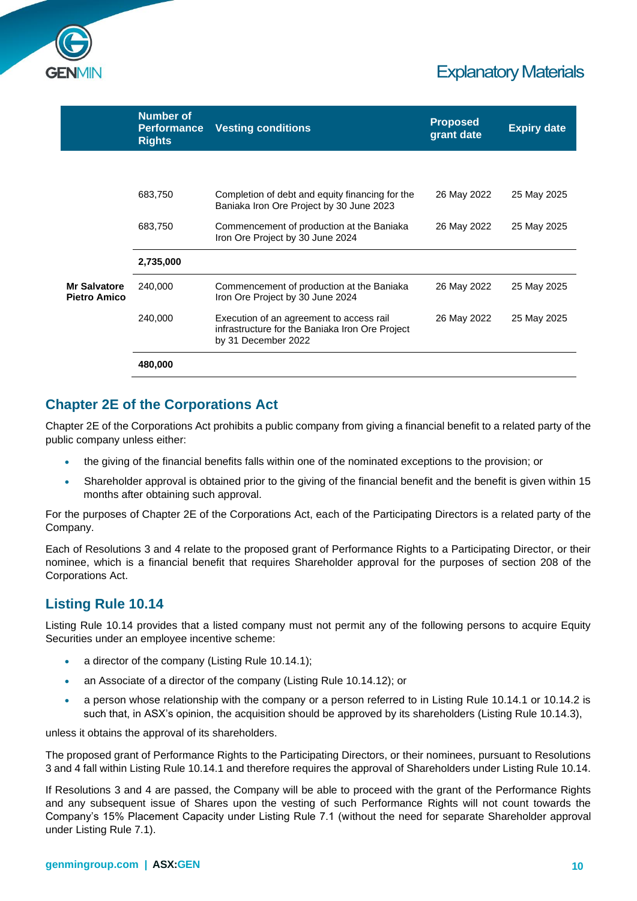

|                                            | <b>Number of</b><br><b>Performance</b><br><b>Rights</b> | <b>Vesting conditions</b>                                                                                          | <b>Proposed</b><br>grant date | <b>Expiry date</b> |
|--------------------------------------------|---------------------------------------------------------|--------------------------------------------------------------------------------------------------------------------|-------------------------------|--------------------|
|                                            |                                                         |                                                                                                                    |                               |                    |
|                                            | 683,750                                                 | Completion of debt and equity financing for the<br>Baniaka Iron Ore Project by 30 June 2023                        | 26 May 2022                   | 25 May 2025        |
|                                            | 683,750                                                 | Commencement of production at the Baniaka<br>Iron Ore Project by 30 June 2024                                      | 26 May 2022                   | 25 May 2025        |
|                                            | 2,735,000                                               |                                                                                                                    |                               |                    |
| <b>Mr Salvatore</b><br><b>Pietro Amico</b> | 240,000                                                 | Commencement of production at the Baniaka<br>Iron Ore Project by 30 June 2024                                      | 26 May 2022                   | 25 May 2025        |
|                                            | 240,000                                                 | Execution of an agreement to access rail<br>infrastructure for the Baniaka Iron Ore Project<br>by 31 December 2022 | 26 May 2022                   | 25 May 2025        |
|                                            | 480,000                                                 |                                                                                                                    |                               |                    |

#### **Chapter 2E of the Corporations Act**

Chapter 2E of the Corporations Act prohibits a public company from giving a financial benefit to a related party of the public company unless either:

- the giving of the financial benefits falls within one of the nominated exceptions to the provision; or
- Shareholder approval is obtained prior to the giving of the financial benefit and the benefit is given within 15 months after obtaining such approval.

For the purposes of Chapter 2E of the Corporations Act, each of the Participating Directors is a related party of the Company.

Each of Resolutions 3 and 4 relate to the proposed grant of Performance Rights to a Participating Director, or their nominee, which is a financial benefit that requires Shareholder approval for the purposes of section 208 of the Corporations Act.

#### **Listing Rule 10.14**

Listing Rule 10.14 provides that a listed company must not permit any of the following persons to acquire Equity Securities under an employee incentive scheme:

- a director of the company (Listing Rule 10.14.1);
- an Associate of a director of the company (Listing Rule 10.14.12); or
- a person whose relationship with the company or a person referred to in Listing Rule 10.14.1 or 10.14.2 is such that, in ASX's opinion, the acquisition should be approved by its shareholders (Listing Rule 10.14.3),

unless it obtains the approval of its shareholders.

The proposed grant of Performance Rights to the Participating Directors, or their nominees, pursuant to Resolutions 3 and 4 fall within Listing Rule 10.14.1 and therefore requires the approval of Shareholders under Listing Rule 10.14.

If Resolutions 3 and 4 are passed, the Company will be able to proceed with the grant of the Performance Rights and any subsequent issue of Shares upon the vesting of such Performance Rights will not count towards the Company's 15% Placement Capacity under Listing Rule 7.1 (without the need for separate Shareholder approval under Listing Rule 7.1).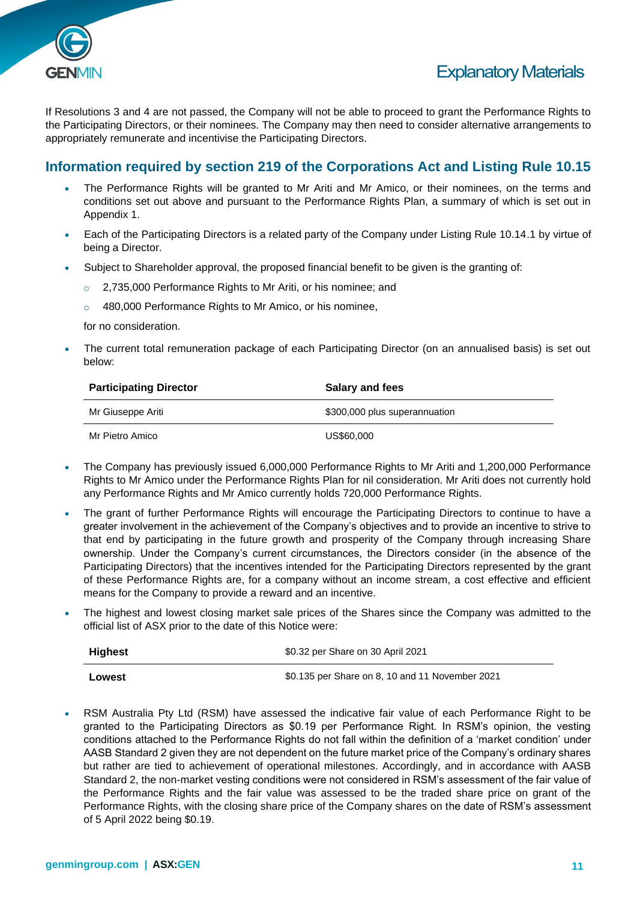

If Resolutions 3 and 4 are not passed, the Company will not be able to proceed to grant the Performance Rights to the Participating Directors, or their nominees. The Company may then need to consider alternative arrangements to appropriately remunerate and incentivise the Participating Directors.

#### **Information required by section 219 of the Corporations Act and Listing Rule 10.15**

- The Performance Rights will be granted to Mr Ariti and Mr Amico, or their nominees, on the terms and conditions set out above and pursuant to the Performance Rights Plan, a summary of which is set out in Appendix 1.
- Each of the Participating Directors is a related party of the Company under Listing Rule 10.14.1 by virtue of being a Director.
- Subject to Shareholder approval, the proposed financial benefit to be given is the granting of:
	- o 2,735,000 Performance Rights to Mr Ariti, or his nominee; and
	- o 480,000 Performance Rights to Mr Amico, or his nominee,

for no consideration.

The current total remuneration package of each Participating Director (on an annualised basis) is set out below:

| <b>Participating Director</b> | Salary and fees               |
|-------------------------------|-------------------------------|
| Mr Giuseppe Ariti             | \$300,000 plus superannuation |
| Mr Pietro Amico               | US\$60,000                    |

- The Company has previously issued 6,000,000 Performance Rights to Mr Ariti and 1,200,000 Performance Rights to Mr Amico under the Performance Rights Plan for nil consideration. Mr Ariti does not currently hold any Performance Rights and Mr Amico currently holds 720,000 Performance Rights.
- The grant of further Performance Rights will encourage the Participating Directors to continue to have a greater involvement in the achievement of the Company's objectives and to provide an incentive to strive to that end by participating in the future growth and prosperity of the Company through increasing Share ownership. Under the Company's current circumstances, the Directors consider (in the absence of the Participating Directors) that the incentives intended for the Participating Directors represented by the grant of these Performance Rights are, for a company without an income stream, a cost effective and efficient means for the Company to provide a reward and an incentive.
- The highest and lowest closing market sale prices of the Shares since the Company was admitted to the official list of ASX prior to the date of this Notice were:

| <b>Highest</b> | \$0.32 per Share on 30 April 2021               |  |  |
|----------------|-------------------------------------------------|--|--|
| Lowest         | \$0.135 per Share on 8, 10 and 11 November 2021 |  |  |

• RSM Australia Pty Ltd (RSM) have assessed the indicative fair value of each Performance Right to be granted to the Participating Directors as \$0.19 per Performance Right. In RSM's opinion, the vesting conditions attached to the Performance Rights do not fall within the definition of a 'market condition' under AASB Standard 2 given they are not dependent on the future market price of the Company's ordinary shares but rather are tied to achievement of operational milestones. Accordingly, and in accordance with AASB Standard 2, the non-market vesting conditions were not considered in RSM's assessment of the fair value of the Performance Rights and the fair value was assessed to be the traded share price on grant of the Performance Rights, with the closing share price of the Company shares on the date of RSM's assessment of 5 April 2022 being \$0.19.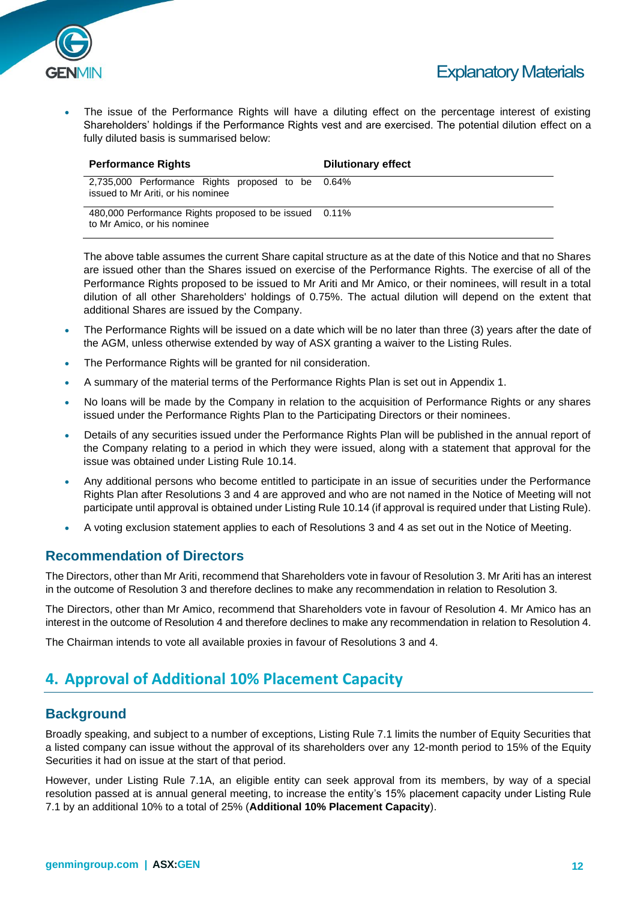

The issue of the Performance Rights will have a diluting effect on the percentage interest of existing Shareholders' holdings if the Performance Rights vest and are exercised. The potential dilution effect on a fully diluted basis is summarised below:

| <b>Performance Rights</b>                                                               | Dilutionary effect |
|-----------------------------------------------------------------------------------------|--------------------|
| 2,735,000 Performance Rights proposed to be 0.64%<br>issued to Mr Ariti, or his nominee |                    |
| 480,000 Performance Rights proposed to be issued 0.11%<br>to Mr Amico, or his nominee   |                    |

The above table assumes the current Share capital structure as at the date of this Notice and that no Shares are issued other than the Shares issued on exercise of the Performance Rights. The exercise of all of the Performance Rights proposed to be issued to Mr Ariti and Mr Amico, or their nominees, will result in a total dilution of all other Shareholders' holdings of 0.75%. The actual dilution will depend on the extent that additional Shares are issued by the Company.

- The Performance Rights will be issued on a date which will be no later than three (3) years after the date of the AGM, unless otherwise extended by way of ASX granting a waiver to the Listing Rules.
- The Performance Rights will be granted for nil consideration.
- A summary of the material terms of the Performance Rights Plan is set out in Appendix 1.
- No loans will be made by the Company in relation to the acquisition of Performance Rights or any shares issued under the Performance Rights Plan to the Participating Directors or their nominees.
- Details of any securities issued under the Performance Rights Plan will be published in the annual report of the Company relating to a period in which they were issued, along with a statement that approval for the issue was obtained under Listing Rule 10.14.
- Any additional persons who become entitled to participate in an issue of securities under the Performance Rights Plan after Resolutions 3 and 4 are approved and who are not named in the Notice of Meeting will not participate until approval is obtained under Listing Rule 10.14 (if approval is required under that Listing Rule).
- A voting exclusion statement applies to each of Resolutions 3 and 4 as set out in the Notice of Meeting.

#### **Recommendation of Directors**

The Directors, other than Mr Ariti, recommend that Shareholders vote in favour of Resolution 3. Mr Ariti has an interest in the outcome of Resolution 3 and therefore declines to make any recommendation in relation to Resolution 3.

The Directors, other than Mr Amico, recommend that Shareholders vote in favour of Resolution 4. Mr Amico has an interest in the outcome of Resolution 4 and therefore declines to make any recommendation in relation to Resolution 4.

The Chairman intends to vote all available proxies in favour of Resolutions 3 and 4.

#### **4. Approval of Additional 10% Placement Capacity**

#### **Background**

Broadly speaking, and subject to a number of exceptions, Listing Rule 7.1 limits the number of Equity Securities that a listed company can issue without the approval of its shareholders over any 12-month period to 15% of the Equity Securities it had on issue at the start of that period.

However, under Listing Rule 7.1A, an eligible entity can seek approval from its members, by way of a special resolution passed at is annual general meeting, to increase the entity's 15% placement capacity under Listing Rule 7.1 by an additional 10% to a total of 25% (**Additional 10% Placement Capacity**).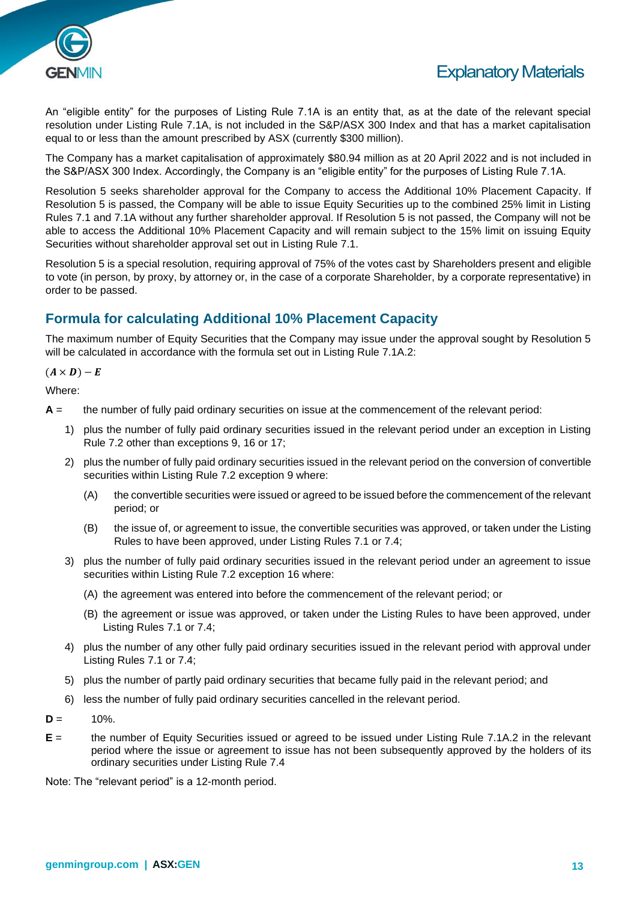

An "eligible entity" for the purposes of Listing Rule 7.1A is an entity that, as at the date of the relevant special resolution under Listing Rule 7.1A, is not included in the S&P/ASX 300 Index and that has a market capitalisation equal to or less than the amount prescribed by ASX (currently \$300 million).

The Company has a market capitalisation of approximately \$80.94 million as at 20 April 2022 and is not included in the S&P/ASX 300 Index. Accordingly, the Company is an "eligible entity" for the purposes of Listing Rule 7.1A.

Resolution 5 seeks shareholder approval for the Company to access the Additional 10% Placement Capacity. If Resolution 5 is passed, the Company will be able to issue Equity Securities up to the combined 25% limit in Listing Rules 7.1 and 7.1A without any further shareholder approval. If Resolution 5 is not passed, the Company will not be able to access the Additional 10% Placement Capacity and will remain subject to the 15% limit on issuing Equity Securities without shareholder approval set out in Listing Rule 7.1.

Resolution 5 is a special resolution, requiring approval of 75% of the votes cast by Shareholders present and eligible to vote (in person, by proxy, by attorney or, in the case of a corporate Shareholder, by a corporate representative) in order to be passed.

#### **Formula for calculating Additional 10% Placement Capacity**

The maximum number of Equity Securities that the Company may issue under the approval sought by Resolution 5 will be calculated in accordance with the formula set out in Listing Rule 7.1A.2:

#### $(A \times D) - E$

Where:

- **A** = the number of fully paid ordinary securities on issue at the commencement of the relevant period:
	- 1) plus the number of fully paid ordinary securities issued in the relevant period under an exception in Listing Rule 7.2 other than exceptions 9, 16 or 17;
	- 2) plus the number of fully paid ordinary securities issued in the relevant period on the conversion of convertible securities within Listing Rule 7.2 exception 9 where:
		- (A) the convertible securities were issued or agreed to be issued before the commencement of the relevant period; or
		- (B) the issue of, or agreement to issue, the convertible securities was approved, or taken under the Listing Rules to have been approved, under Listing Rules 7.1 or 7.4;
	- 3) plus the number of fully paid ordinary securities issued in the relevant period under an agreement to issue securities within Listing Rule 7.2 exception 16 where:
		- (A) the agreement was entered into before the commencement of the relevant period; or
		- (B) the agreement or issue was approved, or taken under the Listing Rules to have been approved, under Listing Rules 7.1 or 7.4;
	- 4) plus the number of any other fully paid ordinary securities issued in the relevant period with approval under Listing Rules 7.1 or 7.4;
	- 5) plus the number of partly paid ordinary securities that became fully paid in the relevant period; and
	- 6) less the number of fully paid ordinary securities cancelled in the relevant period.
- $D = 10%$ .
- **E** = the number of Equity Securities issued or agreed to be issued under Listing Rule 7.1A.2 in the relevant period where the issue or agreement to issue has not been subsequently approved by the holders of its ordinary securities under Listing Rule 7.4

Note: The "relevant period" is a 12-month period.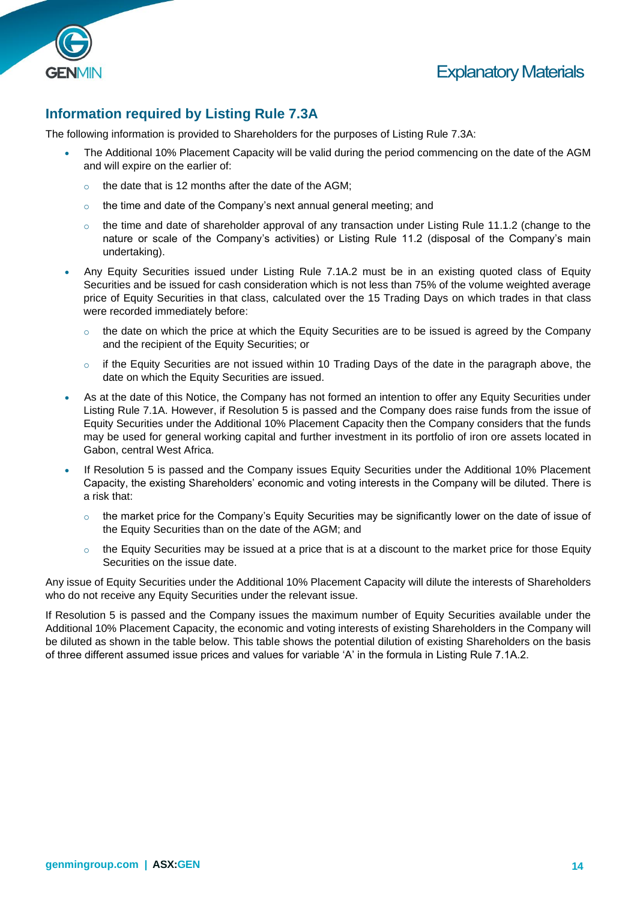



#### **Information required by Listing Rule 7.3A**

The following information is provided to Shareholders for the purposes of Listing Rule 7.3A:

- The Additional 10% Placement Capacity will be valid during the period commencing on the date of the AGM and will expire on the earlier of:
	- the date that is 12 months after the date of the AGM;
	- $\circ$  the time and date of the Company's next annual general meeting; and
	- $\circ$  the time and date of shareholder approval of any transaction under Listing Rule 11.1.2 (change to the nature or scale of the Company's activities) or Listing Rule 11.2 (disposal of the Company's main undertaking).
- Any Equity Securities issued under Listing Rule 7.1A.2 must be in an existing quoted class of Equity Securities and be issued for cash consideration which is not less than 75% of the volume weighted average price of Equity Securities in that class, calculated over the 15 Trading Days on which trades in that class were recorded immediately before:
	- $\circ$  the date on which the price at which the Equity Securities are to be issued is agreed by the Company and the recipient of the Equity Securities; or
	- $\circ$  if the Equity Securities are not issued within 10 Trading Days of the date in the paragraph above, the date on which the Equity Securities are issued.
- As at the date of this Notice, the Company has not formed an intention to offer any Equity Securities under Listing Rule 7.1A. However, if Resolution 5 is passed and the Company does raise funds from the issue of Equity Securities under the Additional 10% Placement Capacity then the Company considers that the funds may be used for general working capital and further investment in its portfolio of iron ore assets located in Gabon, central West Africa.
- If Resolution 5 is passed and the Company issues Equity Securities under the Additional 10% Placement Capacity, the existing Shareholders' economic and voting interests in the Company will be diluted. There is a risk that:
	- $\circ$  the market price for the Company's Equity Securities may be significantly lower on the date of issue of the Equity Securities than on the date of the AGM; and
	- the Equity Securities may be issued at a price that is at a discount to the market price for those Equity Securities on the issue date.

Any issue of Equity Securities under the Additional 10% Placement Capacity will dilute the interests of Shareholders who do not receive any Equity Securities under the relevant issue.

If Resolution 5 is passed and the Company issues the maximum number of Equity Securities available under the Additional 10% Placement Capacity, the economic and voting interests of existing Shareholders in the Company will be diluted as shown in the table below. This table shows the potential dilution of existing Shareholders on the basis of three different assumed issue prices and values for variable 'A' in the formula in Listing Rule 7.1A.2.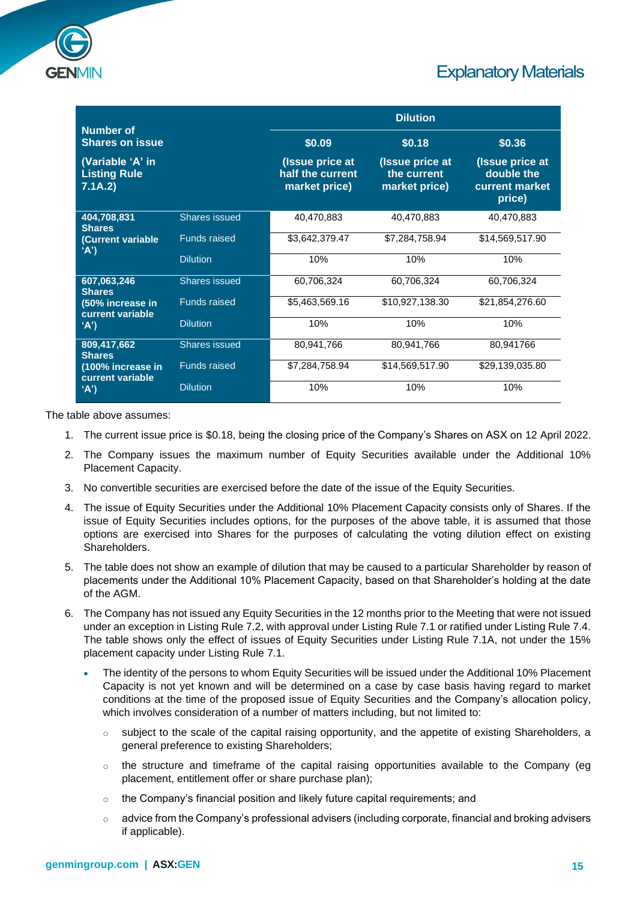

| <b>Number</b> of                                   |                      |                                                      | <b>Dilution</b>                                 |                                                           |
|----------------------------------------------------|----------------------|------------------------------------------------------|-------------------------------------------------|-----------------------------------------------------------|
| <b>Shares on issue</b>                             |                      | \$0.09                                               | \$0.18                                          | \$0.36                                                    |
| (Variable 'A' in<br><b>Listing Rule</b><br>7.1A.2) |                      | (Issue price at<br>half the current<br>market price) | (Issue price at<br>the current<br>market price) | (Issue price at<br>double the<br>current market<br>price) |
| 404,708,831<br><b>Shares</b>                       | Shares issued        | 40,470,883                                           | 40,470,883                                      | 40,470,883                                                |
| (Current variable<br>'A'                           | <b>Funds raised</b>  | \$3,642,379.47                                       | \$7,284,758.94                                  | \$14,569,517.90                                           |
|                                                    | <b>Dilution</b>      | 10%                                                  | 10%                                             | 10%                                                       |
| 607,063,246<br><b>Shares</b>                       | Shares issued        | 60,706,324                                           | 60,706,324                                      | 60,706,324                                                |
| (50% increase in<br>current variable               | <b>Funds raised</b>  | \$5,463,569.16                                       | \$10,927,138.30                                 | \$21,854,276.60                                           |
| 'A'                                                | <b>Dilution</b>      | 10%                                                  | 10%                                             | 10%                                                       |
| 809,417,662<br><b>Shares</b>                       | <b>Shares issued</b> | 80,941,766                                           | 80,941,766                                      | 80,941766                                                 |
| (100% increase in<br>current variable              | <b>Funds raised</b>  | \$7,284,758.94                                       | \$14,569,517.90                                 | \$29,139,035.80                                           |
| 'A'                                                | <b>Dilution</b>      | 10%                                                  | 10%                                             | 10%                                                       |

The table above assumes:

- 1. The current issue price is \$0.18, being the closing price of the Company's Shares on ASX on 12 April 2022.
- 2. The Company issues the maximum number of Equity Securities available under the Additional 10% Placement Capacity.
- 3. No convertible securities are exercised before the date of the issue of the Equity Securities.
- 4. The issue of Equity Securities under the Additional 10% Placement Capacity consists only of Shares. If the issue of Equity Securities includes options, for the purposes of the above table, it is assumed that those options are exercised into Shares for the purposes of calculating the voting dilution effect on existing **Shareholders**
- 5. The table does not show an example of dilution that may be caused to a particular Shareholder by reason of placements under the Additional 10% Placement Capacity, based on that Shareholder's holding at the date of the AGM.
- 6. The Company has not issued any Equity Securities in the 12 months prior to the Meeting that were not issued under an exception in Listing Rule 7.2, with approval under Listing Rule 7.1 or ratified under Listing Rule 7.4. The table shows only the effect of issues of Equity Securities under Listing Rule 7.1A, not under the 15% placement capacity under Listing Rule 7.1.
	- The identity of the persons to whom Equity Securities will be issued under the Additional 10% Placement Capacity is not yet known and will be determined on a case by case basis having regard to market conditions at the time of the proposed issue of Equity Securities and the Company's allocation policy, which involves consideration of a number of matters including, but not limited to:
		- $\circ$  subject to the scale of the capital raising opportunity, and the appetite of existing Shareholders, a general preference to existing Shareholders;
		- $\circ$  the structure and timeframe of the capital raising opportunities available to the Company (eg placement, entitlement offer or share purchase plan);
		- $\circ$  the Company's financial position and likely future capital requirements; and
		- $\circ$  advice from the Company's professional advisers (including corporate, financial and broking advisers if applicable).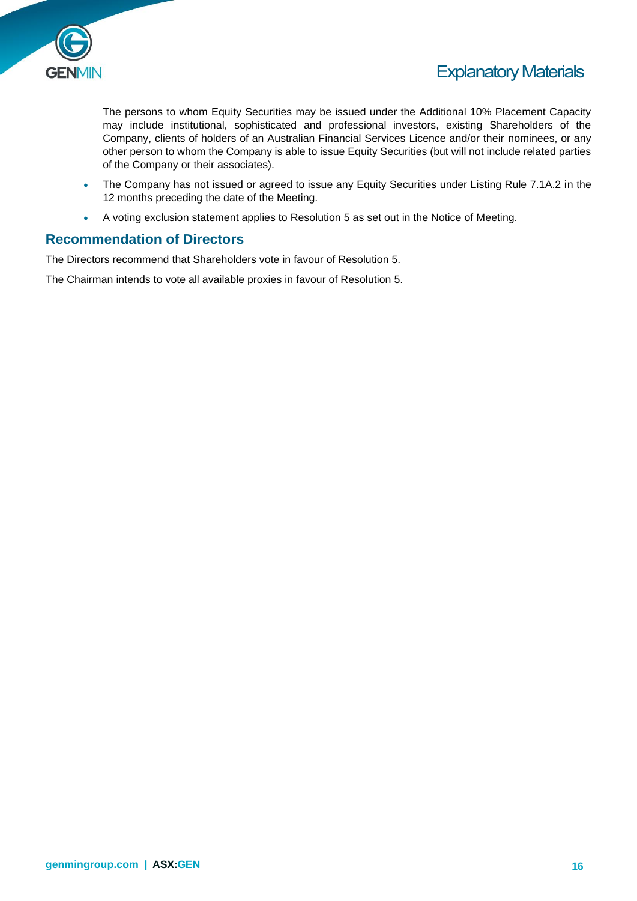

The persons to whom Equity Securities may be issued under the Additional 10% Placement Capacity may include institutional, sophisticated and professional investors, existing Shareholders of the Company, clients of holders of an Australian Financial Services Licence and/or their nominees, or any other person to whom the Company is able to issue Equity Securities (but will not include related parties of the Company or their associates).

- The Company has not issued or agreed to issue any Equity Securities under Listing Rule 7.1A.2 in the 12 months preceding the date of the Meeting.
- A voting exclusion statement applies to Resolution 5 as set out in the Notice of Meeting.

#### **Recommendation of Directors**

The Directors recommend that Shareholders vote in favour of Resolution 5.

The Chairman intends to vote all available proxies in favour of Resolution 5.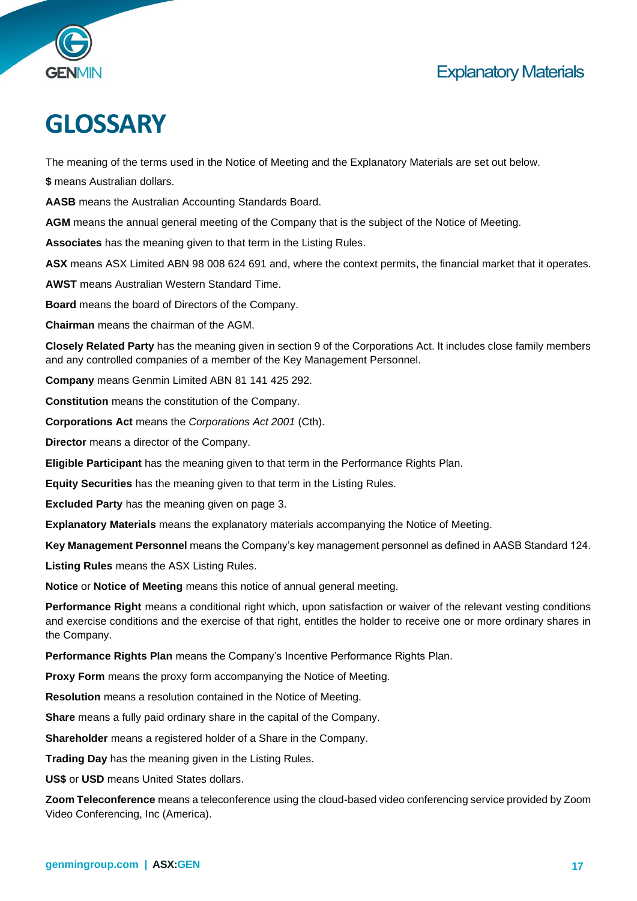



## **GLOSSARY**

The meaning of the terms used in the Notice of Meeting and the Explanatory Materials are set out below.

**\$** means Australian dollars.

**AASB** means the Australian Accounting Standards Board.

**AGM** means the annual general meeting of the Company that is the subject of the Notice of Meeting.

**Associates** has the meaning given to that term in the Listing Rules.

**ASX** means ASX Limited ABN 98 008 624 691 and, where the context permits, the financial market that it operates.

**AWST** means Australian Western Standard Time.

**Board** means the board of Directors of the Company.

**Chairman** means the chairman of the AGM.

**Closely Related Party** has the meaning given in section 9 of the Corporations Act. It includes close family members and any controlled companies of a member of the Key Management Personnel.

**Company** means Genmin Limited ABN 81 141 425 292.

**Constitution** means the constitution of the Company.

**Corporations Act** means the *Corporations Act 2001* (Cth).

**Director** means a director of the Company.

**Eligible Participant** has the meaning given to that term in the Performance Rights Plan.

**Equity Securities** has the meaning given to that term in the Listing Rules.

**Excluded Party** has the meaning given on page 3.

**Explanatory Materials** means the explanatory materials accompanying the Notice of Meeting.

**Key Management Personnel** means the Company's key management personnel as defined in AASB Standard 124.

**Listing Rules** means the ASX Listing Rules.

**Notice** or **Notice of Meeting** means this notice of annual general meeting.

**Performance Right** means a conditional right which, upon satisfaction or waiver of the relevant vesting conditions and exercise conditions and the exercise of that right, entitles the holder to receive one or more ordinary shares in the Company.

**Performance Rights Plan** means the Company's Incentive Performance Rights Plan.

**Proxy Form** means the proxy form accompanying the Notice of Meeting.

**Resolution** means a resolution contained in the Notice of Meeting.

**Share** means a fully paid ordinary share in the capital of the Company.

**Shareholder** means a registered holder of a Share in the Company.

**Trading Day** has the meaning given in the Listing Rules.

**US\$** or **USD** means United States dollars.

**Zoom Teleconference** means a teleconference using the cloud-based video conferencing service provided by Zoom Video Conferencing, Inc (America).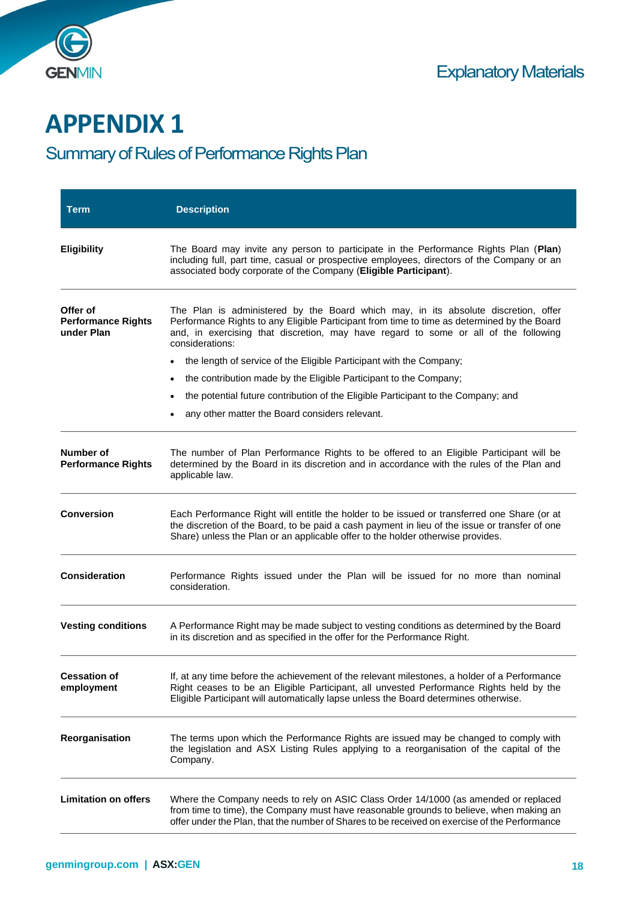

## **APPENDIX 1**

## Summary of Rules of Performance Rights Plan

| <b>Term</b>                                         | <b>Description</b>                                                                                                                                                                                                                                                                          |
|-----------------------------------------------------|---------------------------------------------------------------------------------------------------------------------------------------------------------------------------------------------------------------------------------------------------------------------------------------------|
| <b>Eligibility</b>                                  | The Board may invite any person to participate in the Performance Rights Plan (Plan)<br>including full, part time, casual or prospective employees, directors of the Company or an<br>associated body corporate of the Company (Eligible Participant).                                      |
| Offer of<br><b>Performance Rights</b><br>under Plan | The Plan is administered by the Board which may, in its absolute discretion, offer<br>Performance Rights to any Eligible Participant from time to time as determined by the Board<br>and, in exercising that discretion, may have regard to some or all of the following<br>considerations: |
|                                                     | the length of service of the Eligible Participant with the Company;<br>٠                                                                                                                                                                                                                    |
|                                                     | the contribution made by the Eligible Participant to the Company;<br>$\bullet$                                                                                                                                                                                                              |
|                                                     | the potential future contribution of the Eligible Participant to the Company; and<br>٠                                                                                                                                                                                                      |
|                                                     | any other matter the Board considers relevant.                                                                                                                                                                                                                                              |
| Number of<br><b>Performance Rights</b>              | The number of Plan Performance Rights to be offered to an Eligible Participant will be<br>determined by the Board in its discretion and in accordance with the rules of the Plan and<br>applicable law.                                                                                     |
| <b>Conversion</b>                                   | Each Performance Right will entitle the holder to be issued or transferred one Share (or at<br>the discretion of the Board, to be paid a cash payment in lieu of the issue or transfer of one<br>Share) unless the Plan or an applicable offer to the holder otherwise provides.            |
| <b>Consideration</b>                                | Performance Rights issued under the Plan will be issued for no more than nominal<br>consideration.                                                                                                                                                                                          |
| <b>Vesting conditions</b>                           | A Performance Right may be made subject to vesting conditions as determined by the Board<br>in its discretion and as specified in the offer for the Performance Right.                                                                                                                      |
| <b>Cessation of</b><br>employment                   | If, at any time before the achievement of the relevant milestones, a holder of a Performance<br>Right ceases to be an Eligible Participant, all unvested Performance Rights held by the<br>Eligible Participant will automatically lapse unless the Board determines otherwise.             |
| Reorganisation                                      | The terms upon which the Performance Rights are issued may be changed to comply with<br>the legislation and ASX Listing Rules applying to a reorganisation of the capital of the<br>Company.                                                                                                |
| <b>Limitation on offers</b>                         | Where the Company needs to rely on ASIC Class Order 14/1000 (as amended or replaced<br>from time to time), the Company must have reasonable grounds to believe, when making an<br>offer under the Plan, that the number of Shares to be received on exercise of the Performance             |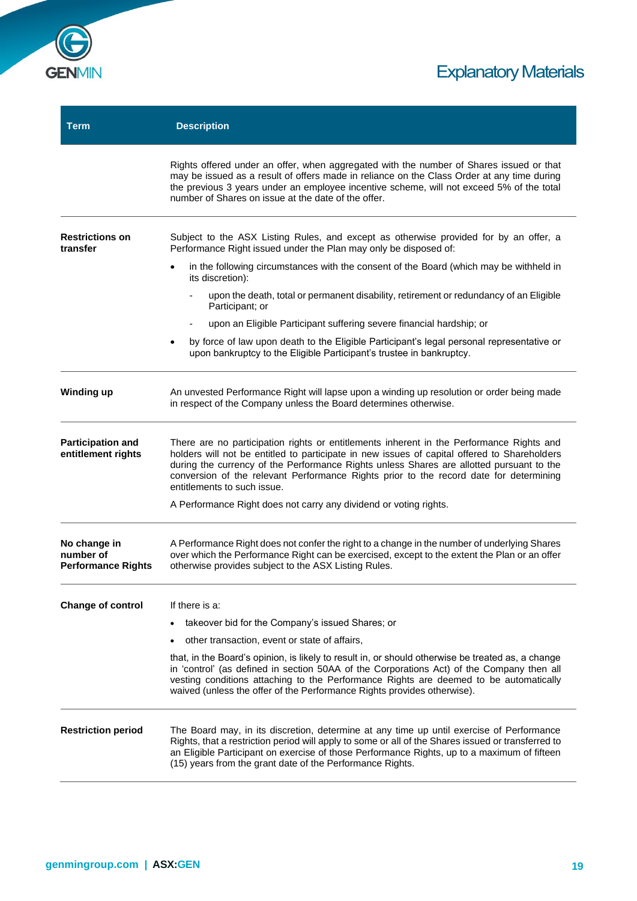

| <b>Term</b>                                            | <b>Description</b>                                                                                                                                                                                                                                                                                                                                                                                            |
|--------------------------------------------------------|---------------------------------------------------------------------------------------------------------------------------------------------------------------------------------------------------------------------------------------------------------------------------------------------------------------------------------------------------------------------------------------------------------------|
|                                                        | Rights offered under an offer, when aggregated with the number of Shares issued or that<br>may be issued as a result of offers made in reliance on the Class Order at any time during<br>the previous 3 years under an employee incentive scheme, will not exceed 5% of the total<br>number of Shares on issue at the date of the offer.                                                                      |
| <b>Restrictions on</b><br>transfer                     | Subject to the ASX Listing Rules, and except as otherwise provided for by an offer, a<br>Performance Right issued under the Plan may only be disposed of:                                                                                                                                                                                                                                                     |
|                                                        | in the following circumstances with the consent of the Board (which may be withheld in<br>$\bullet$<br>its discretion):                                                                                                                                                                                                                                                                                       |
|                                                        | upon the death, total or permanent disability, retirement or redundancy of an Eligible<br>Participant; or                                                                                                                                                                                                                                                                                                     |
|                                                        | upon an Eligible Participant suffering severe financial hardship; or                                                                                                                                                                                                                                                                                                                                          |
|                                                        | by force of law upon death to the Eligible Participant's legal personal representative or<br>$\bullet$<br>upon bankruptcy to the Eligible Participant's trustee in bankruptcy.                                                                                                                                                                                                                                |
| <b>Winding up</b>                                      | An unvested Performance Right will lapse upon a winding up resolution or order being made<br>in respect of the Company unless the Board determines otherwise.                                                                                                                                                                                                                                                 |
| <b>Participation and</b><br>entitlement rights         | There are no participation rights or entitlements inherent in the Performance Rights and<br>holders will not be entitled to participate in new issues of capital offered to Shareholders<br>during the currency of the Performance Rights unless Shares are allotted pursuant to the<br>conversion of the relevant Performance Rights prior to the record date for determining<br>entitlements to such issue. |
|                                                        | A Performance Right does not carry any dividend or voting rights.                                                                                                                                                                                                                                                                                                                                             |
| No change in<br>number of<br><b>Performance Rights</b> | A Performance Right does not confer the right to a change in the number of underlying Shares<br>over which the Performance Right can be exercised, except to the extent the Plan or an offer<br>otherwise provides subject to the ASX Listing Rules.                                                                                                                                                          |
| <b>Change of control</b>                               | If there is a:                                                                                                                                                                                                                                                                                                                                                                                                |
|                                                        | takeover bid for the Company's issued Shares; or                                                                                                                                                                                                                                                                                                                                                              |
|                                                        | other transaction, event or state of affairs,                                                                                                                                                                                                                                                                                                                                                                 |
|                                                        | that, in the Board's opinion, is likely to result in, or should otherwise be treated as, a change<br>in 'control' (as defined in section 50AA of the Corporations Act) of the Company then all<br>vesting conditions attaching to the Performance Rights are deemed to be automatically<br>waived (unless the offer of the Performance Rights provides otherwise).                                            |
| <b>Restriction period</b>                              | The Board may, in its discretion, determine at any time up until exercise of Performance<br>Rights, that a restriction period will apply to some or all of the Shares issued or transferred to<br>an Eligible Participant on exercise of those Performance Rights, up to a maximum of fifteen<br>(15) years from the grant date of the Performance Rights.                                                    |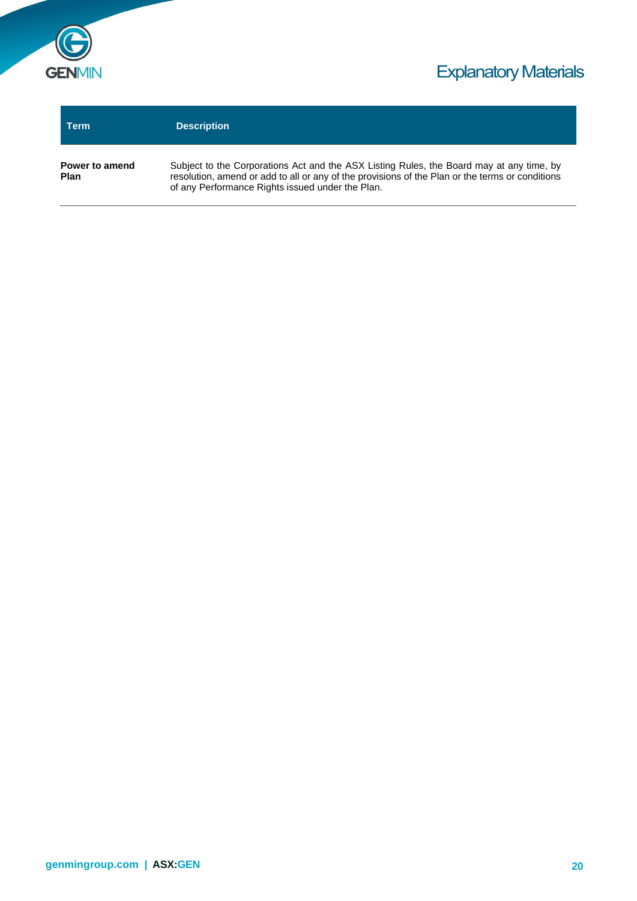

| Term                          | <b>Description</b>                                                                                                                                                                                                                              |
|-------------------------------|-------------------------------------------------------------------------------------------------------------------------------------------------------------------------------------------------------------------------------------------------|
| Power to amend<br><b>Plan</b> | Subject to the Corporations Act and the ASX Listing Rules, the Board may at any time, by<br>resolution, amend or add to all or any of the provisions of the Plan or the terms or conditions<br>of any Performance Rights issued under the Plan. |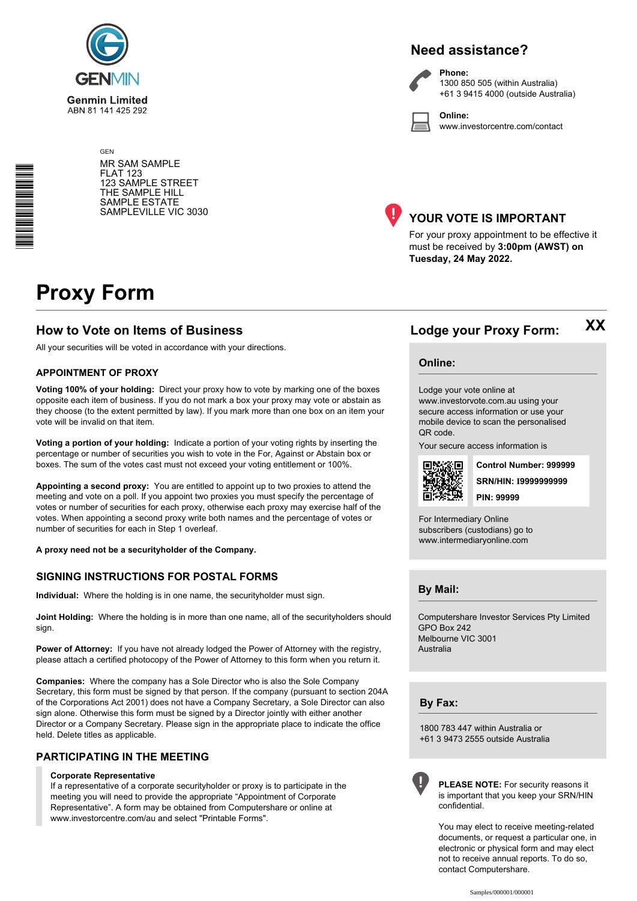

#### **Need assistance?**



**Phone:** 1300 850 505 (within Australia) +61 3 9415 4000 (outside Australia)

**Online:** www.investorcentre.com/contact

GEN MR SAM SAMPLE FLAT 123 123 SAMPLE STREET THE SAMPLE HILL SAMPLE ESTATE SAMPLEVILLE VIC 3030



#### **YOUR VOTE IS IMPORTANT**

For your proxy appointment to be effective it must be received by **3:00pm (AWST) on Tuesday, 24 May 2022.**

## **Proxy Form**

\*<br>\* London<br>Timografia

#### **How to Vote on Items of Business Lodge your Proxy Form:**

All your securities will be voted in accordance with your directions.

#### **APPOINTMENT OF PROXY**

**Voting 100% of your holding:** Direct your proxy how to vote by marking one of the boxes opposite each item of business. If you do not mark a box your proxy may vote or abstain as they choose (to the extent permitted by law). If you mark more than one box on an item your vote will be invalid on that item.

**Voting a portion of your holding:** Indicate a portion of your voting rights by inserting the percentage or number of securities you wish to vote in the For, Against or Abstain box or boxes. The sum of the votes cast must not exceed your voting entitlement or 100%.

**Appointing a second proxy:** You are entitled to appoint up to two proxies to attend the meeting and vote on a poll. If you appoint two proxies you must specify the percentage of votes or number of securities for each proxy, otherwise each proxy may exercise half of the votes. When appointing a second proxy write both names and the percentage of votes or number of securities for each in Step 1 overleaf.

**A proxy need not be a securityholder of the Company.**

#### **SIGNING INSTRUCTIONS FOR POSTAL FORMS**

**Individual:** Where the holding is in one name, the securityholder must sign.

**Joint Holding:** Where the holding is in more than one name, all of the securityholders should sign.

Power of Attorney: If you have not already lodged the Power of Attorney with the registry, please attach a certified photocopy of the Power of Attorney to this form when you return it.

**Companies:** Where the company has a Sole Director who is also the Sole Company Secretary, this form must be signed by that person. If the company (pursuant to section 204A of the Corporations Act 2001) does not have a Company Secretary, a Sole Director can also sign alone. Otherwise this form must be signed by a Director jointly with either another Director or a Company Secretary. Please sign in the appropriate place to indicate the office held. Delete titles as applicable.

#### **PARTICIPATING IN THE MEETING**

#### **Corporate Representative**

If a representative of a corporate securityholder or proxy is to participate in the meeting you will need to provide the appropriate "Appointment of Corporate Representative". A form may be obtained from Computershare or online at www.investorcentre.com/au and select "Printable Forms".

**Online:**

Lodge your vote online at

www.investorvote.com.au using your secure access information or use your mobile device to scan the personalised QR code.

Your secure access information is



**SRN/HIN: I9999999999 Control Number: 999999 PIN: 99999**

**XX**

For Intermediary Online subscribers (custodians) go to www.intermediaryonline.com

**By Mail:**

Computershare Investor Services Pty Limited GPO Box 242 Melbourne VIC 3001 Australia

**By Fax:**

1800 783 447 within Australia or +61 3 9473 2555 outside Australia



**PLEASE NOTE:** For security reasons it is important that you keep your SRN/HIN confidential.

You may elect to receive meeting-related documents, or request a particular one, in electronic or physical form and may elect not to receive annual reports. To do so, contact Computershare.